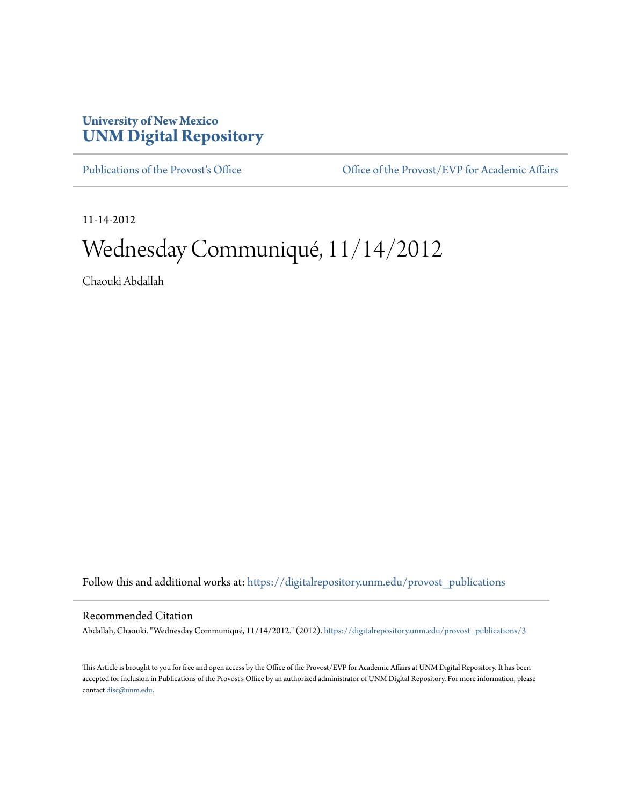## **University of New Mexico [UNM Digital Repository](https://digitalrepository.unm.edu?utm_source=digitalrepository.unm.edu%2Fprovost_publications%2F3&utm_medium=PDF&utm_campaign=PDFCoverPages)**

[Publications of the Provost's Office](https://digitalrepository.unm.edu/provost_publications?utm_source=digitalrepository.unm.edu%2Fprovost_publications%2F3&utm_medium=PDF&utm_campaign=PDFCoverPages) Office [Office of the Provost/EVP for Academic Affairs](https://digitalrepository.unm.edu/ofc_provost?utm_source=digitalrepository.unm.edu%2Fprovost_publications%2F3&utm_medium=PDF&utm_campaign=PDFCoverPages)

11-14-2012

# Wednesday Communiqué, 11/14/2012

Chaouki Abdallah

Follow this and additional works at: [https://digitalrepository.unm.edu/provost\\_publications](https://digitalrepository.unm.edu/provost_publications?utm_source=digitalrepository.unm.edu%2Fprovost_publications%2F3&utm_medium=PDF&utm_campaign=PDFCoverPages)

#### Recommended Citation

Abdallah, Chaouki. "Wednesday Communiqué, 11/14/2012." (2012). [https://digitalrepository.unm.edu/provost\\_publications/3](https://digitalrepository.unm.edu/provost_publications/3?utm_source=digitalrepository.unm.edu%2Fprovost_publications%2F3&utm_medium=PDF&utm_campaign=PDFCoverPages)

This Article is brought to you for free and open access by the Office of the Provost/EVP for Academic Affairs at UNM Digital Repository. It has been accepted for inclusion in Publications of the Provost's Office by an authorized administrator of UNM Digital Repository. For more information, please contact [disc@unm.edu.](mailto:disc@unm.edu)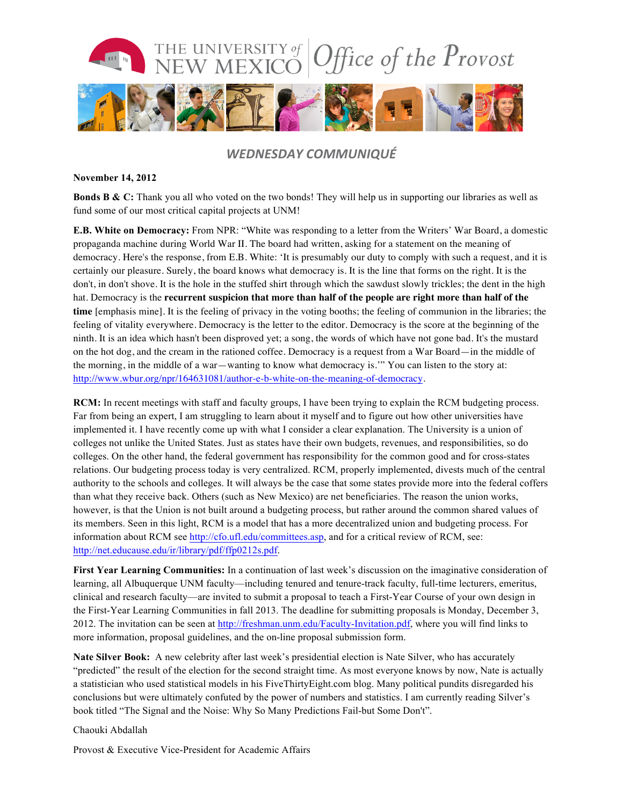

### *WEDNESDAY COMMUNIQUÉ*

#### **November 14, 2012**

**Bonds B & C:** Thank you all who voted on the two bonds! They will help us in supporting our libraries as well as fund some of our most critical capital projects at UNM!

**E.B. White on Democracy:** From NPR: "White was responding to a letter from the Writers' War Board, a domestic propaganda machine during World War II. The board had written, asking for a statement on the meaning of democracy. Here's the response, from E.B. White: 'It is presumably our duty to comply with such a request, and it is certainly our pleasure. Surely, the board knows what democracy is. It is the line that forms on the right. It is the don't, in don't shove. It is the hole in the stuffed shirt through which the sawdust slowly trickles; the dent in the high hat. Democracy is the **recurrent suspicion that more than half of the people are right more than half of the time** [emphasis mine]. It is the feeling of privacy in the voting booths; the feeling of communion in the libraries; the feeling of vitality everywhere. Democracy is the letter to the editor. Democracy is the score at the beginning of the ninth. It is an idea which hasn't been disproved yet; a song, the words of which have not gone bad. It's the mustard on the hot dog, and the cream in the rationed coffee. Democracy is a request from a War Board—in the middle of the morning, in the middle of a war—wanting to know what democracy is.'" You can listen to the story at: http://www.wbur.org/npr/164631081/author-e-b-white-on-the-meaning-of-democracy.

**RCM:** In recent meetings with staff and faculty groups, I have been trying to explain the RCM budgeting process. Far from being an expert, I am struggling to learn about it myself and to figure out how other universities have implemented it. I have recently come up with what I consider a clear explanation. The University is a union of colleges not unlike the United States. Just as states have their own budgets, revenues, and responsibilities, so do colleges. On the other hand, the federal government has responsibility for the common good and for cross-states relations. Our budgeting process today is very centralized. RCM, properly implemented, divests much of the central authority to the schools and colleges. It will always be the case that some states provide more into the federal coffers than what they receive back. Others (such as New Mexico) are net beneficiaries. The reason the union works, however, is that the Union is not built around a budgeting process, but rather around the common shared values of its members. Seen in this light, RCM is a model that has a more decentralized union and budgeting process. For information about RCM see http://cfo.ufl.edu/committees.asp, and for a critical review of RCM, see: http://net.educause.edu/ir/library/pdf/ffp0212s.pdf.

**First Year Learning Communities:** In a continuation of last week's discussion on the imaginative consideration of learning, all Albuquerque UNM faculty—including tenured and tenure-track faculty, full-time lecturers, emeritus, clinical and research faculty—are invited to submit a proposal to teach a First-Year Course of your own design in the First-Year Learning Communities in fall 2013. The deadline for submitting proposals is Monday, December 3, 2012. The invitation can be seen at http://freshman.unm.edu/Faculty-Invitation.pdf, where you will find links to more information, proposal guidelines, and the on-line proposal submission form.

**Nate Silver Book:** A new celebrity after last week's presidential election is Nate Silver, who has accurately "predicted" the result of the election for the second straight time. As most everyone knows by now, Nate is actually a statistician who used statistical models in his FiveThirtyEight.com blog. Many political pundits disregarded his conclusions but were ultimately confuted by the power of numbers and statistics. I am currently reading Silver's book titled "The Signal and the Noise: Why So Many Predictions Fail-but Some Don't".

Chaouki Abdallah

Provost & Executive Vice-President for Academic Affairs